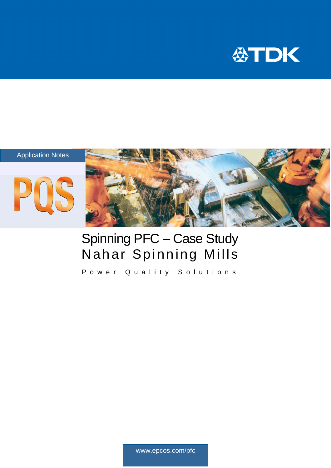

## Application Notes





## Spinning PFC – Case Study Nahar Spinning Mills

Power Quality Solutions

www.epcos.com/pfc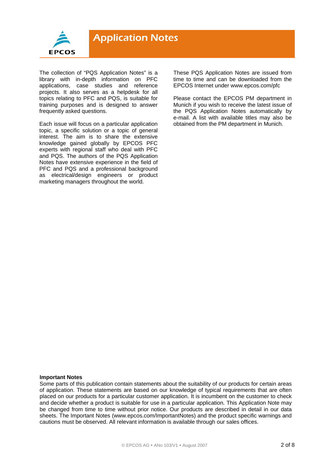

The collection of "PQS Application Notes" is a library with in-depth information on PFC applications, case studies and reference projects. It also serves as a helpdesk for all topics relating to PFC and PQS, is suitable for training purposes and is designed to answer frequently asked questions.

Each issue will focus on a particular application topic, a specific solution or a topic of general interest. The aim is to share the extensive knowledge gained globally by EPCOS PFC experts with regional staff who deal with PFC and PQS. The authors of the PQS Application Notes have extensive experience in the field of PFC and PQS and a professional background as electrical/design engineers or product marketing managers throughout the world.

These PQS Application Notes are issued from time to time and can be downloaded from the EPCOS Internet under www.epcos.com/pfc

Please contact the EPCOS PM department in Munich if you wish to receive the latest issue of the PQS Application Notes automatically by e-mail. A list with available titles may also be obtained from the PM department in Munich.

#### **Important Notes**

Some parts of this publication contain statements about the suitability of our products for certain areas of application. These statements are based on our knowledge of typical requirements that are often placed on our products for a particular customer application. It is incumbent on the customer to check and decide whether a product is suitable for use in a particular application. This Application Note may be changed from time to time without prior notice. Our products are described in detail in our data sheets. The Important Notes (www.epcos.com/ImportantNotes) and the product specific warnings and cautions must be observed. All relevant information is available through our sales offices.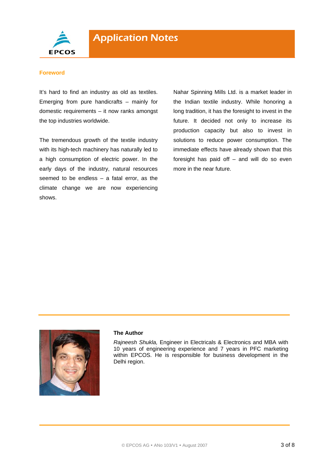

## **Foreword**

It's hard to find an industry as old as textiles. Emerging from pure handicrafts – mainly for domestic requirements – it now ranks amongst the top industries worldwide.

The tremendous growth of the textile industry with its high-tech machinery has naturally led to a high consumption of electric power. In the early days of the industry, natural resources seemed to be endless – a fatal error, as the climate change we are now experiencing shows.

Nahar Spinning Mills Ltd. is a market leader in the Indian textile industry. While honoring a long tradition, it has the foresight to invest in the future. It decided not only to increase its production capacity but also to invest in solutions to reduce power consumption. The immediate effects have already shown that this foresight has paid off – and will do so even more in the near future.



## **The Author**

*Rajneesh Shukla,* Engineer in Electricals & Electronics and MBA with 10 years of engineering experience and 7 years in PFC marketing within EPCOS. He is responsible for business development in the Delhi region.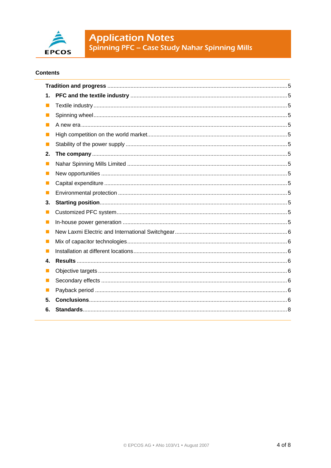

# **Application Notes**<br>Spinning PFC – Case Study Nahar Spinning Mills

## **Contents**

| 1.             |  |
|----------------|--|
| ш              |  |
| ш              |  |
|                |  |
| ш              |  |
|                |  |
| 2.             |  |
| ш              |  |
| ш              |  |
| $\blacksquare$ |  |
| ш              |  |
| 3.             |  |
| ш              |  |
| п              |  |
| ш              |  |
| $\mathcal{L}$  |  |
| ш              |  |
| 4.             |  |
| ш              |  |
| ш              |  |
| L.             |  |
| 5.             |  |
| 6.             |  |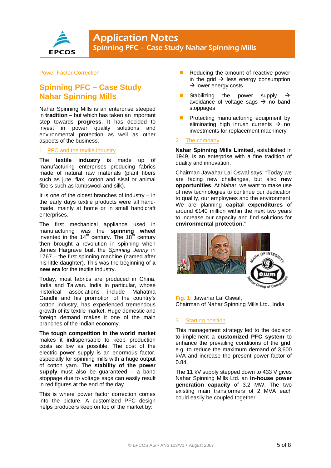

## Power Factor Correction

## **Spinning PFC – Case Study Nahar Spinning Mills**

Nahar Spinning Mills is an enterprise steeped in **tradition** – but which has taken an important step towards **progress**. It has decided to invest in power quality solutions and environmental protection as well as other aspects of the business.

## 1. PFC and the textile industry

The **textile industry** is made up of manufacturing enterprises producing fabrics made of natural raw materials (plant fibers such as jute, flax, cotton and sisal or animal fibers such as lambswool and silk).

It is one of the oldest branches of industry  $-$  in the early days textile products were all handmade, mainly at home or in small handicraft enterprises.

The first mechanical appliance used in manufacturing was the **spinning wheel** invented in the 14<sup>th</sup> century. The 18<sup>th</sup> century then brought a revolution in spinning when James Hargrave built the *Spinning Jenny* in 1767 – the first spinning machine (named after his little daughter). This was the beginning of **a new era** for the textile industry.

Today, most fabrics are produced in China, India and Taiwan. India in particular, whose historical associations include Mahatma Gandhi and his promotion of the country's cotton industry, has experienced tremendous growth of its textile market. Huge domestic and foreign demand makes it one of the main branches of the Indian economy.

The **tough competition in the world market** makes it indispensable to keep production costs as low as possible. The cost of the electric power supply is an enormous factor, especially for spinning mills with a huge output of cotton yarn. The **stability of the power supply** must also be guaranteed – a band stoppage due to voltage sags can easily result in red figures at the end of the day.

This is where power factor correction comes into the picture. A customized PFC design helps producers keep on top of the market by:

- Reducing the amount of reactive power in the grid  $\rightarrow$  less energy consumption  $\rightarrow$  lower energy costs
- Stabilizing the power supply  $\rightarrow$ avoidance of voltage sags  $\rightarrow$  no band stoppages
- Protecting manufacturing equipment by eliminating high inrush currents  $\rightarrow$  no investments for replacement machinery

#### 2. The company

**Nahar Spinning Mills Limited**, established in 1949, is an enterprise with a fine tradition of quality and innovation.

Chairman Jawahar Lal Oswal says: "Today we are facing new challenges, but also **new opportunities**. At Nahar, we want to make use of new technologies to continue our dedication to quality, our employees and the environment. We are planning **capital expenditures** of around €140 million within the next two years to increase our capacity and find solutions for **environmental protection.**"



**Fig. 1:** Jawahar Lal Oswal, Chairman of Nahar Spinning Mills Ltd., India

## 3. Starting position

This management strategy led to the decision to implement a **customized PFC system** to enhance the prevailing conditions of the grid, e.g. to reduce the maximum demand of 3,600 kVA and increase the present power factor of 0.84.

The 11 kV supply stepped down to 433 V gives Nahar Spinning Mills Ltd. an **in-house power generation capacity** of 3.2 MW. The two existing main transformers of 2 MVA each could easily be coupled together.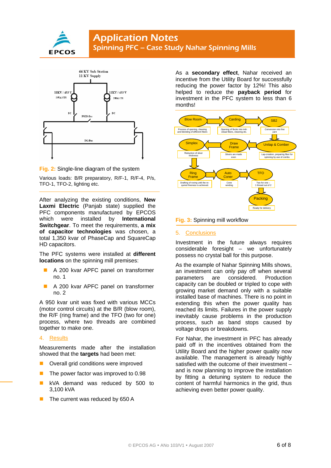





Various loads: B/R preparatory, R/F-1, R/F-4, P/s, TFO-1, TFO-2, lighting etc.

After analyzing the existing conditions, **New Laxmi Electric** (Panjab state) supplied the PFC components manufactured by EPCOS which were installed by **International Switchgear**. To meet the requirements, **a mix of capacitor technologies** was chosen, a total 1,350 kvar of PhaseCap and SquareCap HD capacitors.

The PFC systems were installed at **different locations** on the spinning mill premises:

- A 200 kvar APFC panel on transformer no. 1
- A 200 kvar APFC panel on transformer no. 2

A 950 kvar unit was fixed with various MCCs (motor control circuits) at the B/R (blow room), the R/F (ring frame) and the TFO (two for one) process, where two threads are combined together to make one.

## 4. Results

Measurements made after the installation showed that the **targets** had been met:

- Overall grid conditions were improved
- $\blacksquare$  The power factor was improved to 0.98
- kVA demand was reduced by 500 to 3,100 kVA
- The current was reduced by 650 A

As a **secondary effect**, Nahar received an incentive from the Utility Board for successfully reducing the power factor by 12%! This also helped to reduce the **payback period** for investment in the PFC system to less than 6 months!



**Fig. 3:** Spinning mill workflow

## 5. Conclusions

Investment in the future always requires considerable foresight – we unfortunately possess no crystal ball for this purpose.

As the example of Nahar Spinning Mills shows, an investment can only pay off when several parameters are considered. Production capacity can be doubled or tripled to cope with growing market demand only with a suitable installed base of machines. There is no point in extending this when the power quality has reached its limits. Failures in the power supply inevitably cause problems in the production process, such as band stops caused by voltage drops or breakdowns.

For Nahar, the investment in PFC has already paid off in the incentives obtained from the Utility Board and the higher power quality now available. The management is already highly satisfied with the outcome of their investment – and is now planning to improve the installation by fitting a detuning system to reduce the content of harmful harmonics in the grid, thus achieving even better power quality.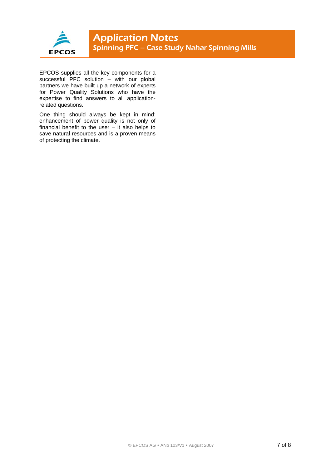

EPCOS supplies all the key components for a successful PFC solution – with our global partners we have built up a network of experts for Power Quality Solutions who have the expertise to find answers to all applicationrelated questions.

One thing should always be kept in mind: enhancement of power quality is not only of financial benefit to the user  $-$  it also helps to save natural resources and is a proven means of protecting the climate.